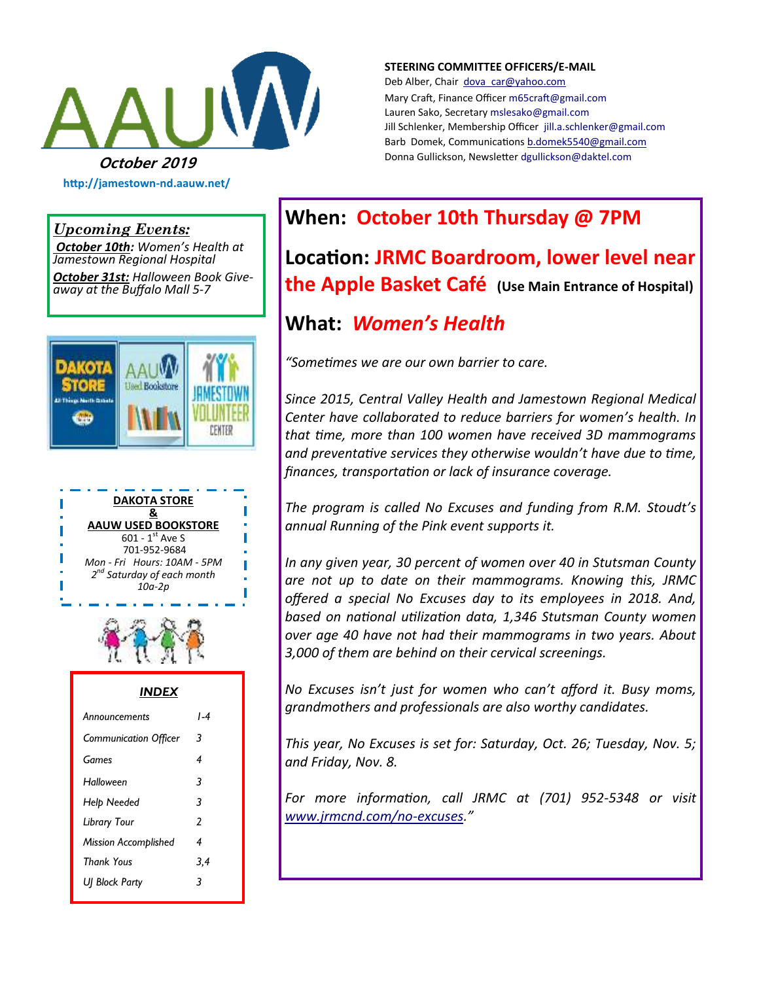

**http://jamestown-nd.aauw.net/** 

**STEERING COMMITTEE OFFICERS/E-MAIL**

Deb Alber, Chair [dova\\_car@yahoo.com](mailto:dova_car@yahoo.com) Mary Craft, Finance Officer [m65craft@gmail.com](mailto:m65craft@gmail.com) Lauren Sako, Secretary [mslesako@gmail.com](mailto:mslesako@gmail.com) Jill Schlenker, Membership Officer [jill.a.schlenker@gmail.com](mailto:jill.a.schlenker@gmail.com) Barb Domek, Communications [b.domek5540@gmail.com](mailto:b.domek5540@gmail.com)

#### *Upcoming Events:*

*October 10th: Women's Health at Jamestown Regional Hospital*

*October 31st: Halloween Book Giveaway at the Buffalo Mall 5-7*







| <b>INDEX</b>                 |     |  |  |  |
|------------------------------|-----|--|--|--|
| Announcements                | l-4 |  |  |  |
| <b>Communication Officer</b> | 3   |  |  |  |
| Games                        | 4   |  |  |  |
| Halloween                    | 3   |  |  |  |
| Help Needed                  | 3   |  |  |  |
| Library Tour                 | 2   |  |  |  |
| <b>Mission Accomplished</b>  | 4   |  |  |  |
| <b>Thank Yous</b>            | 3,4 |  |  |  |
| UJ Block Party               | 3   |  |  |  |

# **When: October 10th Thursday @ 7PM**

**Location: JRMC Boardroom, lower level near the Apple Basket Café (Use Main Entrance of Hospital)** 

# **What:** *Women's Health*

*"Sometimes we are our own barrier to care.*

*Since 2015, Central Valley Health and Jamestown Regional Medical Center have collaborated to reduce barriers for women's health. In that time, more than 100 women have received 3D mammograms and preventative services they otherwise wouldn't have due to time, finances, transportation or lack of insurance coverage.*

*The program is called No Excuses and funding from R.M. Stoudt's annual Running of the Pink event supports it.*

*In any given year, 30 percent of women over 40 in Stutsman County are not up to date on their mammograms. Knowing this, JRMC offered a special No Excuses day to its employees in 2018. And, based on national utilization data, 1,346 Stutsman County women over age 40 have not had their mammograms in two years. About 3,000 of them are behind on their cervical screenings.*

*No Excuses isn't just for women who can't afford it. Busy moms, grandmothers and professionals are also worthy candidates.*

*This year, No Excuses is set for: Saturday, Oct. 26; Tuesday, Nov. 5; and Friday, Nov. 8.*

*For more information, call JRMC at (701) 952-5348 or visit [www.jrmcnd.com/no](http://www.jrmcnd.com/no-excuses)-excuses."*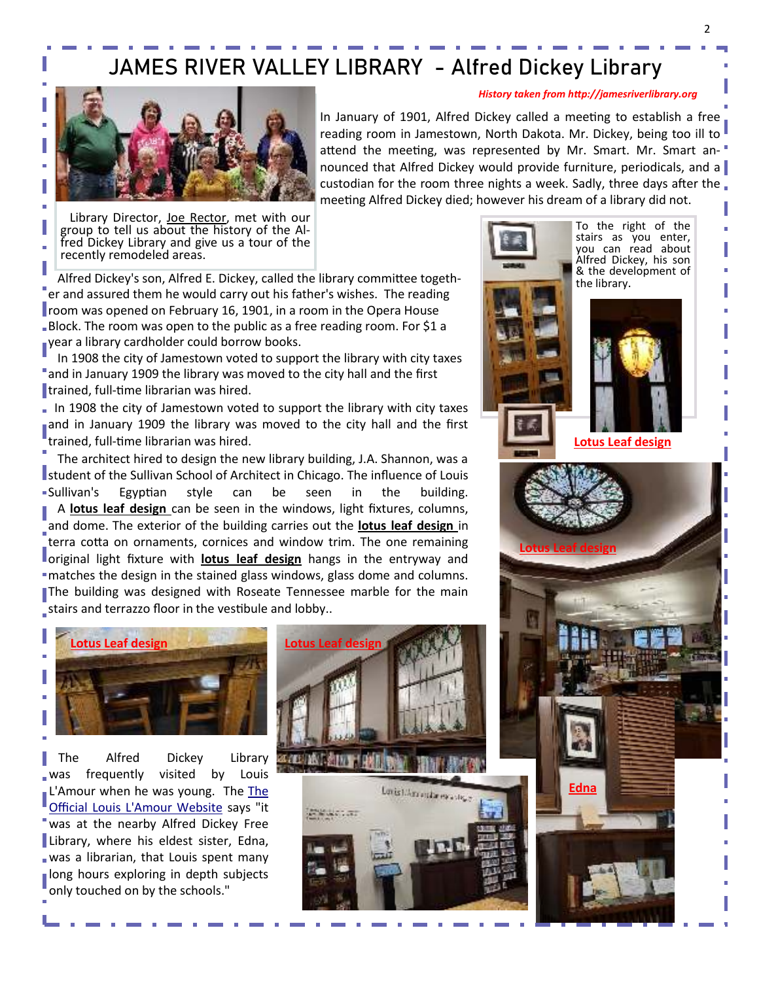# JAMES RIVER VALLEY LIBRARY - Alfred Dickey Library



In January of 1901, Alfred Dickey called a meeting to establish a free reading room in Jamestown, North Dakota. Mr. Dickey, being too ill to attend the meeting, was represented by Mr. Smart. Mr. Smart announced that Alfred Dickey would provide furniture, periodicals, and a custodian for the room three nights a week. Sadly, three days after the meeting Alfred Dickey died; however his dream of a library did not.

Library Director, Joe Rector, met with our group to tell us about the history of the Alfred Dickey Library and give us a tour of the recently remodeled areas.

 Alfred Dickey's son, Alfred E. Dickey, called the library committee together and assured them he would carry out his father's wishes. The reading room was opened on February 16, 1901, in a room in the Opera House Block. The room was open to the public as a free reading room. For \$1 a year a library cardholder could borrow books.

 In 1908 the city of Jamestown voted to support the library with city taxes and in January 1909 the library was moved to the city hall and the first trained, full-time librarian was hired.

In 1908 the city of Jamestown voted to support the library with city taxes and in January 1909 the library was moved to the city hall and the first trained, full-time librarian was hired.

 The architect hired to design the new library building, J.A. Shannon, was a **I** student of the Sullivan School of Architect in Chicago. The influence of Louis Sullivan's Egyptian style can be seen in the building. A **lotus leaf design** can be seen in the windows, light fixtures, columns, and dome. The exterior of the building carries out the **lotus leaf design** in terra cotta on ornaments, cornices and window trim. The one remaining original light fixture with **lotus leaf design** hangs in the entryway and matches the design in the stained glass windows, glass dome and columns. The building was designed with Roseate Tennessee marble for the main stairs and terrazzo floor in the vestibule and lobby..



 The Alfred Dickey Library was frequently visited by Louis L'Amour when he was young. [The](http://www.louislamour.com/aboutlouis/biography.htm) The [Official Louis L'Amour Website](http://www.louislamour.com/aboutlouis/biography.htm) says "it was at the nearby Alfred Dickey Free Library, where his eldest sister, Edna, was a librarian, that Louis spent many long hours exploring in depth subjects only touched on by the schools."





To the right of the stairs as you enter, you can read about Alfred Dickey, his son & the development of the library.

*History taken from http://jamesriverlibrary.org* 





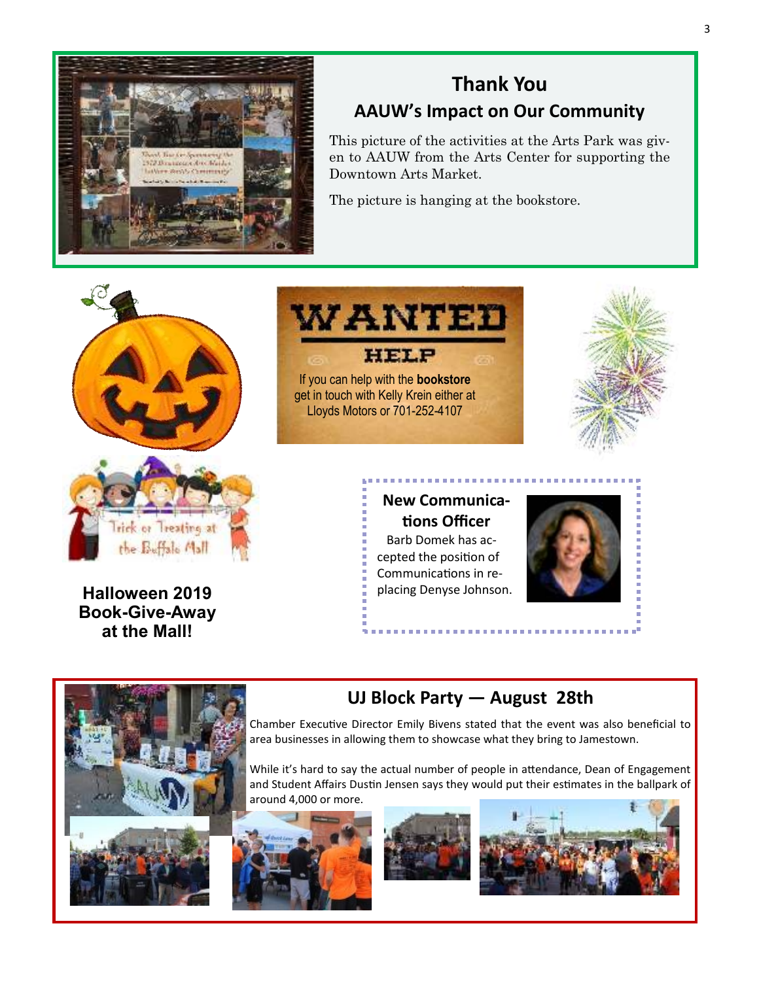

## **Thank You AAUW's Impact on Our Community**

This picture of the activities at the Arts Park was given to AAUW from the Arts Center for supporting the Downtown Arts Market.

The picture is hanging at the bookstore.





Halloween 2019 **blacing Denyse Johnson. Book-Give-Away at the Mall!** 



**New Communica-**

**tions Officer** Barb Domek has accepted the position of Communications in re-





### **UJ Block Party — August 28th**

. . . . . . . . . . . .

Chamber Executive Director Emily Bivens stated that the event was also beneficial to area businesses in allowing them to showcase what they bring to Jamestown.

While it's hard to say the actual number of people in attendance, Dean of Engagement and Student Affairs Dustin Jensen says they would put their estimates in the ballpark of around 4,000 or more.